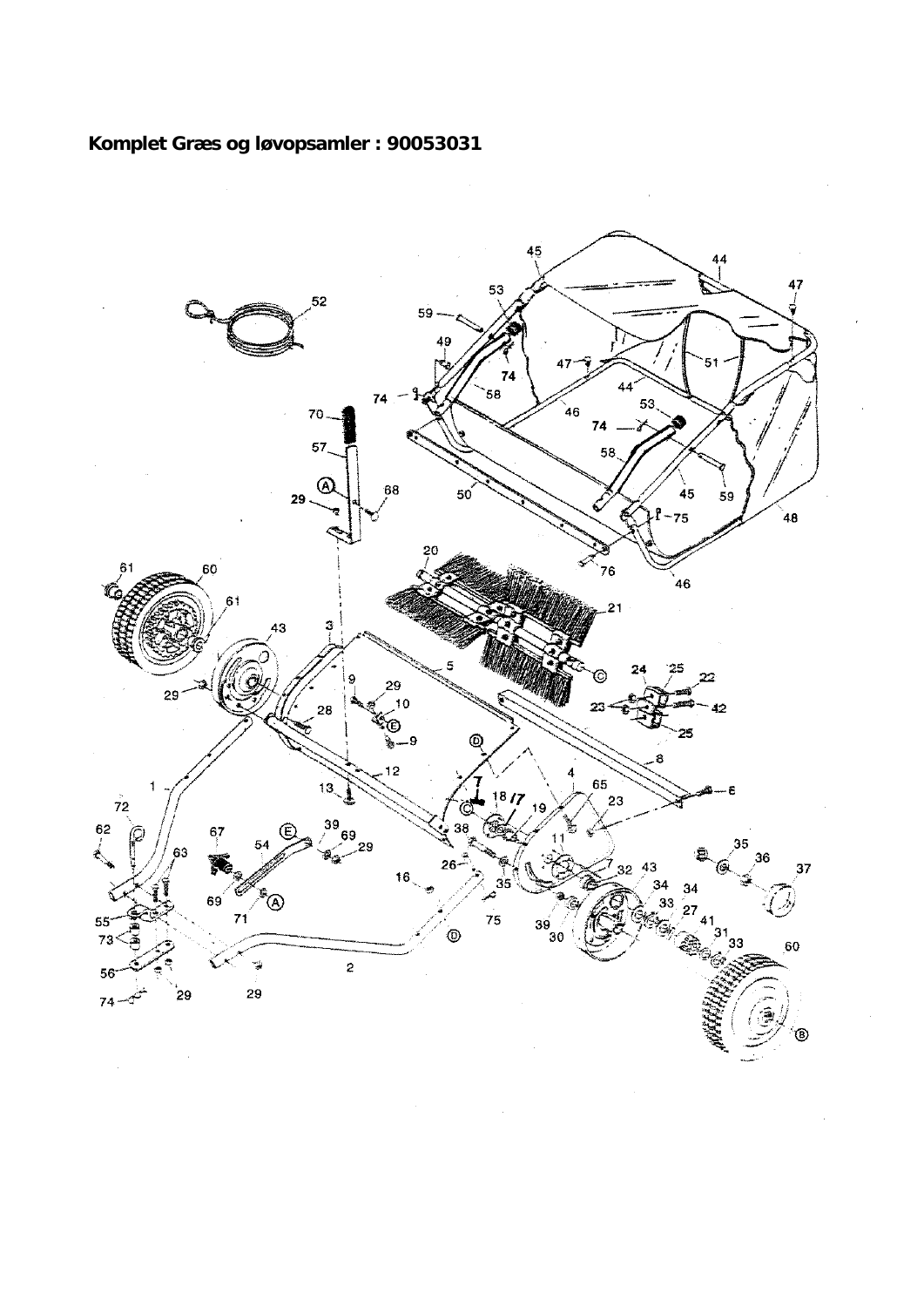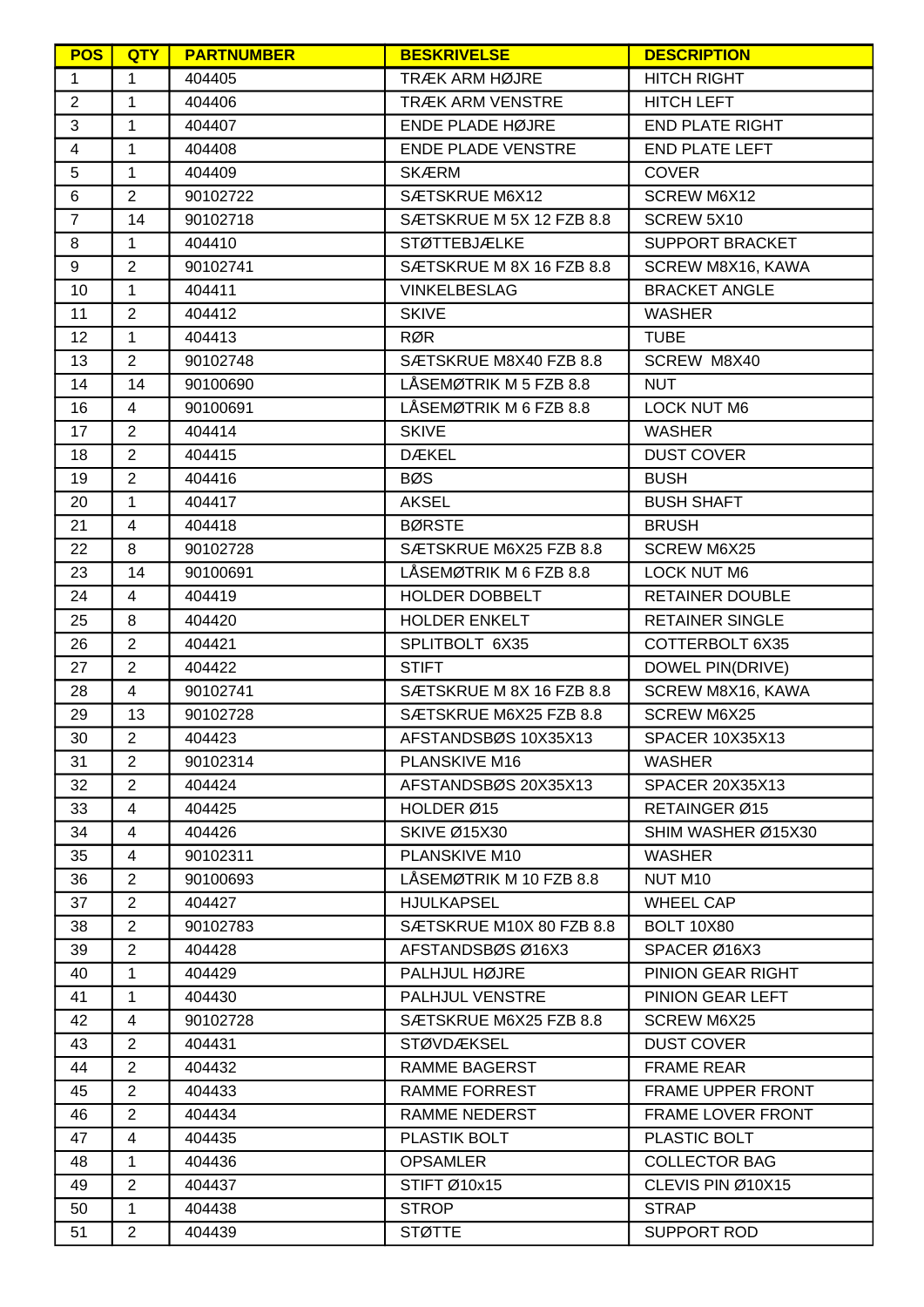| <b>POS</b>              | <b>QTY</b>              | <b>PARTNUMBER</b> | <b>BESKRIVELSE</b>        | <b>DESCRIPTION</b>       |
|-------------------------|-------------------------|-------------------|---------------------------|--------------------------|
| 1                       | 1                       | 404405            | <b>TRÆK ARM HØJRE</b>     | <b>HITCH RIGHT</b>       |
| $\overline{2}$          | $\mathbf{1}$            | 404406            | <b>TRÆK ARM VENSTRE</b>   | <b>HITCH LEFT</b>        |
| $\mathbf{3}$            | $\mathbf{1}$            | 404407            | ENDE PLADE HØJRE          | <b>END PLATE RIGHT</b>   |
| $\overline{\mathbf{4}}$ | $\mathbf{1}$            | 404408            | <b>ENDE PLADE VENSTRE</b> | <b>END PLATE LEFT</b>    |
| $\overline{5}$          | $\mathbf{1}$            | 404409            | <b>SKÆRM</b>              | <b>COVER</b>             |
| 6                       | $\overline{2}$          | 90102722          | SÆTSKRUE M6X12            | SCREW M6X12              |
| $\overline{7}$          | 14                      | 90102718          | SÆTSKRUE M 5X 12 FZB 8.8  | SCREW 5X10               |
| 8                       | $\mathbf{1}$            | 404410            | <b>STØTTEBJÆLKE</b>       | <b>SUPPORT BRACKET</b>   |
| 9                       | $\overline{2}$          | 90102741          | SÆTSKRUE M 8X 16 FZB 8.8  | SCREW M8X16, KAWA        |
| 10 <sup>1</sup>         | $\mathbf{1}$            | 404411            | <b>VINKELBESLAG</b>       | <b>BRACKET ANGLE</b>     |
| 11                      | $\overline{2}$          | 404412            | <b>SKIVE</b>              | <b>WASHER</b>            |
| 12                      | $\mathbf{1}$            | 404413            | <b>RØR</b>                | <b>TUBE</b>              |
| 13                      | 2                       | 90102748          | SÆTSKRUE M8X40 FZB 8.8    | SCREW M8X40              |
| 14                      | 14                      | 90100690          | LÅSEMØTRIK M 5 FZB 8.8    | <b>NUT</b>               |
| 16                      | $\overline{4}$          | 90100691          | LÅSEMØTRIK M 6 FZB 8.8    | <b>LOCK NUT M6</b>       |
| 17                      | $\overline{2}$          | 404414            | <b>SKIVE</b>              | <b>WASHER</b>            |
| 18                      | $\overline{2}$          | 404415            | <b>DÆKEL</b>              | <b>DUST COVER</b>        |
| 19                      | $\overline{2}$          | 404416            | <b>BØS</b>                | <b>BUSH</b>              |
| 20                      | $\mathbf{1}$            | 404417            | <b>AKSEL</b>              | <b>BUSH SHAFT</b>        |
| 21                      | 4                       | 404418            | <b>BØRSTE</b>             | <b>BRUSH</b>             |
| 22                      | 8                       | 90102728          | SÆTSKRUE M6X25 FZB 8.8    | <b>SCREW M6X25</b>       |
| 23                      | 14                      | 90100691          | LÅSEMØTRIK M 6 FZB 8.8    | <b>LOCK NUT M6</b>       |
| 24                      | $\overline{4}$          | 404419            | HOLDER DOBBELT            | <b>RETAINER DOUBLE</b>   |
| 25                      | 8                       | 404420            | <b>HOLDER ENKELT</b>      | <b>RETAINER SINGLE</b>   |
| 26                      | $\overline{2}$          | 404421            | SPLITBOLT 6X35            | COTTERBOLT 6X35          |
| 27                      | $\overline{2}$          | 404422            | <b>STIFT</b>              | DOWEL PIN(DRIVE)         |
| 28                      | $\overline{4}$          | 90102741          | SÆTSKRUE M 8X 16 FZB 8.8  | SCREW M8X16, KAWA        |
| 29                      | 13                      | 90102728          | SÆTSKRUE M6X25 FZB 8.8    | <b>SCREW M6X25</b>       |
| 30                      | $\overline{2}$          | 404423            | AFSTANDSBØS 10X35X13      | <b>SPACER 10X35X13</b>   |
| 31                      | 2                       | 90102314          | <b>PLANSKIVE M16</b>      | <b>WASHER</b>            |
| 32                      | $\overline{2}$          | 404424            | AFSTANDSBØS 20X35X13      | <b>SPACER 20X35X13</b>   |
| 33                      | $\overline{4}$          | 404425            | HOLDER Ø15                | RETAINGER Ø15            |
| 34                      | $\overline{\mathbf{4}}$ | 404426            | <b>SKIVE Ø15X30</b>       | SHIM WASHER Ø15X30       |
| 35                      | $\overline{4}$          | 90102311          | PLANSKIVE M10             | <b>WASHER</b>            |
| 36                      | $\overline{2}$          | 90100693          | LÅSEMØTRIK M 10 FZB 8.8   | NUT M10                  |
| 37                      | 2                       | 404427            | <b>HJULKAPSEL</b>         | <b>WHEEL CAP</b>         |
| 38                      | $\overline{2}$          | 90102783          | SÆTSKRUE M10X 80 FZB 8.8  | <b>BOLT 10X80</b>        |
| 39                      | $\overline{2}$          | 404428            | AFSTANDSBØSØ16X3          | SPACER Ø16X3             |
| 40                      | 1                       | 404429            | PALHJUL HØJRE             | PINION GEAR RIGHT        |
| 41                      | $\mathbf{1}$            | 404430            | PALHJUL VENSTRE           | PINION GEAR LEFT         |
| 42                      | 4                       | 90102728          | SÆTSKRUE M6X25 FZB 8.8    | <b>SCREW M6X25</b>       |
| 43                      | $\overline{2}$          | 404431            | <b>STØVDÆKSEL</b>         | <b>DUST COVER</b>        |
| 44                      | $\overline{2}$          | 404432            | RAMME BAGERST             | <b>FRAME REAR</b>        |
| 45                      | $\overline{2}$          | 404433            | <b>RAMME FORREST</b>      | FRAME UPPER FRONT        |
| 46                      | $\overline{2}$          | 404434            | RAMME NEDERST             | <b>FRAME LOVER FRONT</b> |
| 47                      | $\overline{4}$          | 404435            | <b>PLASTIK BOLT</b>       | PLASTIC BOLT             |
| 48                      | $\mathbf{1}$            | 404436            | <b>OPSAMLER</b>           | <b>COLLECTOR BAG</b>     |
| 49                      | $\overline{2}$          | 404437            | STIFT Ø10x15              | CLEVIS PIN Ø10X15        |
| 50                      | $\mathbf{1}$            | 404438            | <b>STROP</b>              | <b>STRAP</b>             |
| 51                      | $\overline{2}$          | 404439            | <b>STØTTE</b>             | SUPPORT ROD              |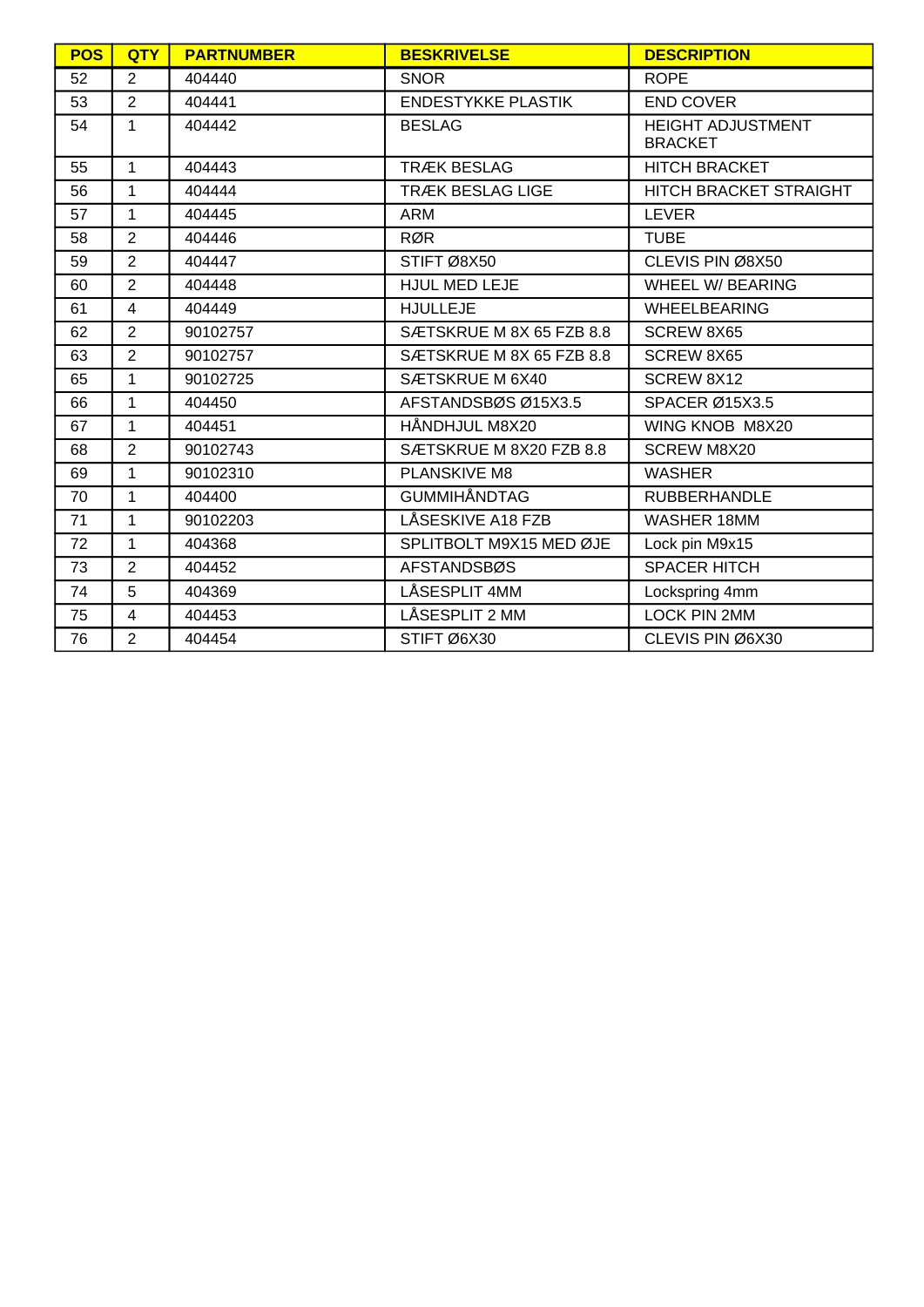| <b>POS</b> | <b>QTY</b>     | <b>PARTNUMBER</b> | <b>BESKRIVELSE</b>        | <b>DESCRIPTION</b>                         |
|------------|----------------|-------------------|---------------------------|--------------------------------------------|
| 52         | $\overline{2}$ | 404440            | <b>SNOR</b>               | <b>ROPE</b>                                |
| 53         | 2              | 404441            | <b>ENDESTYKKE PLASTIK</b> | <b>END COVER</b>                           |
| 54         | 1              | 404442            | <b>BESLAG</b>             | <b>HEIGHT ADJUSTMENT</b><br><b>BRACKET</b> |
| 55         | $\mathbf{1}$   | 404443            | <b>TRÆK BESLAG</b>        | <b>HITCH BRACKET</b>                       |
| 56         | $\mathbf{1}$   | 404444            | <b>TRÆK BESLAG LIGE</b>   | HITCH BRACKET STRAIGHT                     |
| 57         | 1              | 404445            | <b>ARM</b>                | <b>LEVER</b>                               |
| 58         | $\overline{2}$ | 404446            | <b>RØR</b>                | <b>TUBE</b>                                |
| 59         | $\overline{2}$ | 404447            | STIFT Ø8X50               | CLEVIS PIN Ø8X50                           |
| 60         | $\overline{2}$ | 404448            | <b>HJUL MED LEJE</b>      | <b>WHEEL W/ BEARING</b>                    |
| 61         | $\overline{4}$ | 404449            | <b>HJULLEJE</b>           | <b>WHEELBEARING</b>                        |
| 62         | 2              | 90102757          | SÆTSKRUE M 8X 65 FZB 8.8  | SCREW 8X65                                 |
| 63         | $\overline{2}$ | 90102757          | SÆTSKRUE M 8X 65 FZB 8.8  | SCREW 8X65                                 |
| 65         | 1              | 90102725          | SÆTSKRUE M 6X40           | SCREW 8X12                                 |
| 66         | 1              | 404450            | AFSTANDSBØS Ø15X3.5       | SPACER Ø15X3.5                             |
| 67         | 1              | 404451            | HÅNDHJUL M8X20            | WING KNOB M8X20                            |
| 68         | $\overline{2}$ | 90102743          | SÆTSKRUE M 8X20 FZB 8.8   | <b>SCREW M8X20</b>                         |
| 69         | 1              | 90102310          | PLANSKIVE M8              | <b>WASHER</b>                              |
| 70         | $\mathbf{1}$   | 404400            | <b>GUMMIHÅNDTAG</b>       | <b>RUBBERHANDLE</b>                        |
| 71         | $\mathbf{1}$   | 90102203          | LÅSESKIVE A18 FZB         | WASHER 18MM                                |
| 72         | $\mathbf{1}$   | 404368            | SPLITBOLT M9X15 MED ØJE   | Lock pin M9x15                             |
| 73         | $\overline{2}$ | 404452            | <b>AFSTANDSBØS</b>        | <b>SPACER HITCH</b>                        |
| 74         | 5              | 404369            | LÅSESPLIT 4MM             | Lockspring 4mm                             |
| 75         | $\overline{4}$ | 404453            | LÅSESPLIT 2 MM            | LOCK PIN 2MM                               |
| 76         | $\overline{2}$ | 404454            | STIFT Ø6X30               | CLEVIS PIN Ø6X30                           |